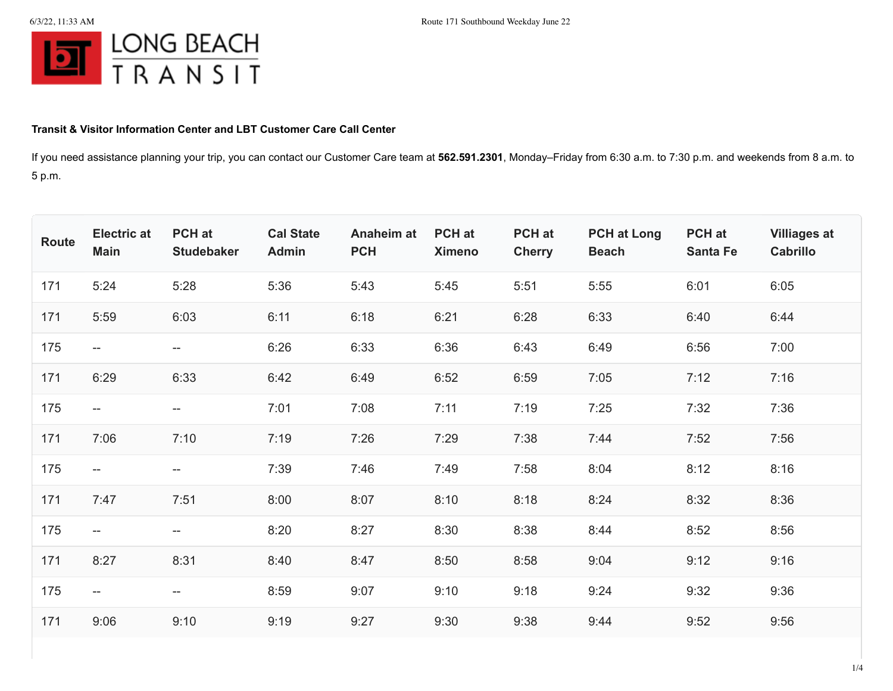

## **Transit & Visitor Information Center and LBT Customer Care Call Center**

If you need assistance planning your trip, you can contact our Customer Care team at **562.591.2301**, Monday–Friday from 6:30 a.m. to 7:30 p.m. and weekends from 8 a.m. to 5 p.m.

| <b>Route</b> | <b>Electric at</b><br><b>Main</b> | PCH at<br><b>Studebaker</b> | <b>Cal State</b><br><b>Admin</b> | Anaheim at<br><b>PCH</b> | <b>PCH</b> at<br><b>Ximeno</b> | <b>PCH</b> at<br><b>Cherry</b> | <b>PCH at Long</b><br><b>Beach</b> | PCH at<br><b>Santa Fe</b> | <b>Villiages at</b><br>Cabrillo |
|--------------|-----------------------------------|-----------------------------|----------------------------------|--------------------------|--------------------------------|--------------------------------|------------------------------------|---------------------------|---------------------------------|
| 171          | 5:24                              | 5:28                        | 5:36                             | 5:43                     | 5:45                           | 5:51                           | 5:55                               | 6:01                      | 6:05                            |
| 171          | 5:59                              | 6:03                        | 6:11                             | 6:18                     | 6:21                           | 6:28                           | 6:33                               | 6:40                      | 6:44                            |
| 175          | $- -$                             | $-$                         | 6:26                             | 6:33                     | 6:36                           | 6:43                           | 6:49                               | 6:56                      | 7:00                            |
| 171          | 6:29                              | 6:33                        | 6:42                             | 6:49                     | 6:52                           | 6:59                           | 7:05                               | 7:12                      | 7:16                            |
| 175          | $- -$                             | --                          | 7:01                             | 7:08                     | 7:11                           | 7:19                           | 7:25                               | 7:32                      | 7:36                            |
| 171          | 7:06                              | 7:10                        | 7:19                             | 7:26                     | 7:29                           | 7:38                           | 7:44                               | 7:52                      | 7:56                            |
| 175          | $- -$                             | --                          | 7:39                             | 7:46                     | 7:49                           | 7:58                           | 8:04                               | 8:12                      | 8:16                            |
| 171          | 7:47                              | 7:51                        | 8:00                             | 8:07                     | 8:10                           | 8:18                           | 8:24                               | 8:32                      | 8:36                            |
| 175          | $- -$                             | --                          | 8:20                             | 8:27                     | 8:30                           | 8:38                           | 8:44                               | 8:52                      | 8:56                            |
| 171          | 8:27                              | 8:31                        | 8:40                             | 8:47                     | 8:50                           | 8:58                           | 9:04                               | 9:12                      | 9:16                            |
| 175          | $- -$                             | --                          | 8:59                             | 9:07                     | 9:10                           | 9:18                           | 9:24                               | 9:32                      | 9:36                            |
| 171          | 9:06                              | 9:10                        | 9:19                             | 9:27                     | 9:30                           | 9:38                           | 9:44                               | 9:52                      | 9:56                            |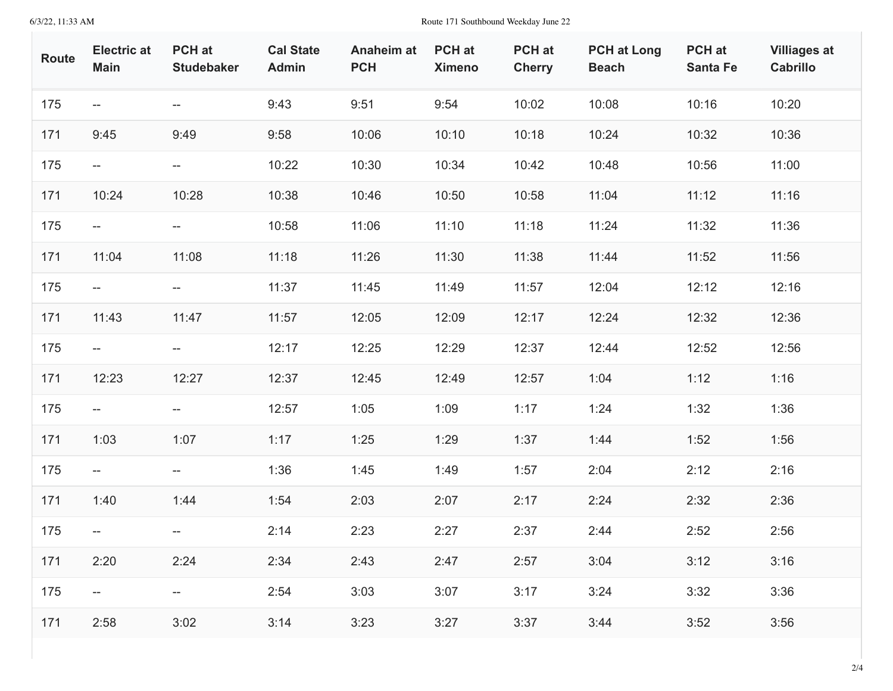6/3/22, 11:33 AM Route 171 Southbound Weekday June 22

| Route | <b>Electric at</b><br><b>Main</b> | PCH at<br><b>Studebaker</b>                         | <b>Cal State</b><br><b>Admin</b> | <b>Anaheim at</b><br><b>PCH</b> | <b>PCH</b> at<br><b>Ximeno</b> | <b>PCH</b> at<br><b>Cherry</b> | <b>PCH at Long</b><br><b>Beach</b> | PCH at<br><b>Santa Fe</b> | <b>Villiages at</b><br><b>Cabrillo</b> |
|-------|-----------------------------------|-----------------------------------------------------|----------------------------------|---------------------------------|--------------------------------|--------------------------------|------------------------------------|---------------------------|----------------------------------------|
| 175   | $- -$                             | $- -$                                               | 9:43                             | 9:51                            | 9:54                           | 10:02                          | 10:08                              | 10:16                     | 10:20                                  |
| 171   | 9:45                              | 9:49                                                | 9:58                             | 10:06                           | 10:10                          | 10:18                          | 10:24                              | 10:32                     | 10:36                                  |
| 175   | $- -$                             | $\hspace{0.05cm} -\hspace{0.05cm} -\hspace{0.05cm}$ | 10:22                            | 10:30                           | 10:34                          | 10:42                          | 10:48                              | 10:56                     | 11:00                                  |
| 171   | 10:24                             | 10:28                                               | 10:38                            | 10:46                           | 10:50                          | 10:58                          | 11:04                              | 11:12                     | 11:16                                  |
| 175   | $- -$                             | $\overline{\phantom{a}}$                            | 10:58                            | 11:06                           | 11:10                          | 11:18                          | 11:24                              | 11:32                     | 11:36                                  |
| 171   | 11:04                             | 11:08                                               | 11:18                            | 11:26                           | 11:30                          | 11:38                          | 11:44                              | 11:52                     | 11:56                                  |
| 175   | $- -$                             | $\hspace{0.05cm} -\hspace{0.05cm} -\hspace{0.05cm}$ | 11:37                            | 11:45                           | 11:49                          | 11:57                          | 12:04                              | 12:12                     | 12:16                                  |
| 171   | 11:43                             | 11:47                                               | 11:57                            | 12:05                           | 12:09                          | 12:17                          | 12:24                              | 12:32                     | 12:36                                  |
| 175   | $- -$                             | $\hspace{0.05cm} -\hspace{0.05cm} -\hspace{0.05cm}$ | 12:17                            | 12:25                           | 12:29                          | 12:37                          | 12:44                              | 12:52                     | 12:56                                  |
| 171   | 12:23                             | 12:27                                               | 12:37                            | 12:45                           | 12:49                          | 12:57                          | 1:04                               | 1:12                      | 1:16                                   |
| 175   | $- -$                             | $\hspace{0.05cm} -\hspace{0.05cm} -\hspace{0.05cm}$ | 12:57                            | 1:05                            | 1:09                           | 1:17                           | 1:24                               | 1:32                      | 1:36                                   |
| 171   | 1:03                              | 1:07                                                | 1:17                             | 1:25                            | 1:29                           | 1:37                           | 1:44                               | 1:52                      | 1:56                                   |
| 175   | $- -$                             | $\overline{\phantom{a}}$                            | 1:36                             | 1:45                            | 1:49                           | 1:57                           | 2:04                               | 2:12                      | 2:16                                   |
| 171   | 1:40                              | 1:44                                                | 1:54                             | 2:03                            | 2:07                           | 2:17                           | 2:24                               | 2:32                      | 2:36                                   |
| 175   | $- -$                             | $\overline{\phantom{a}}$                            | 2:14                             | 2:23                            | 2:27                           | 2:37                           | 2:44                               | 2:52                      | 2:56                                   |
| 171   | 2:20                              | 2:24                                                | 2:34                             | 2:43                            | 2:47                           | 2:57                           | 3:04                               | 3:12                      | 3:16                                   |
| 175   | $\sim$                            | $\overline{\phantom{a}}$                            | 2:54                             | 3:03                            | 3:07                           | 3:17                           | 3:24                               | 3:32                      | 3:36                                   |
| 171   | 2:58                              | 3:02                                                | 3:14                             | 3:23                            | 3:27                           | 3:37                           | 3:44                               | 3:52                      | 3:56                                   |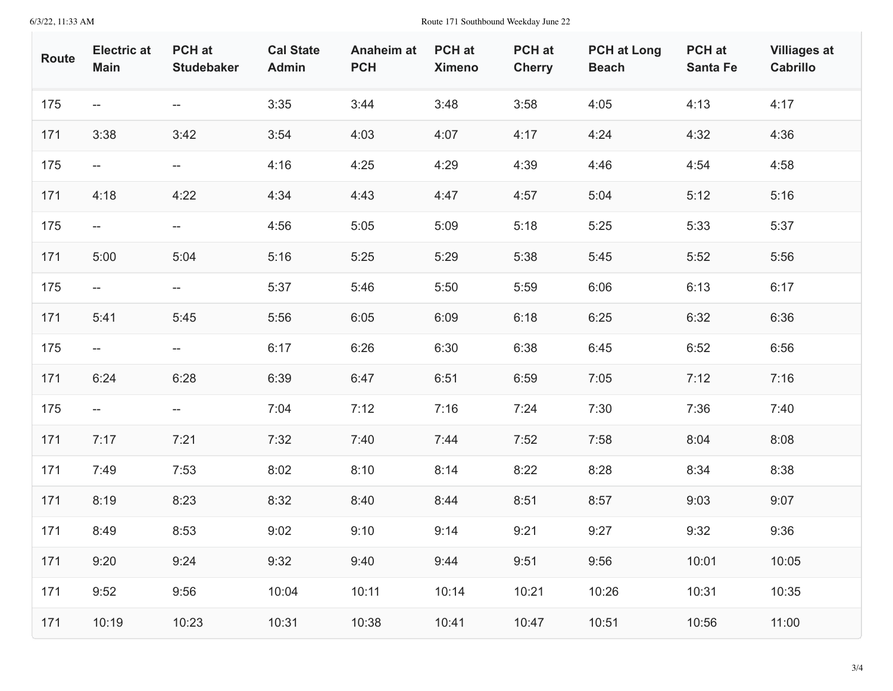6/3/22, 11:33 AM Route 171 Southbound Weekday June 22

| Route | <b>Electric at</b><br><b>Main</b> | <b>PCH</b> at<br><b>Studebaker</b>                  | <b>Cal State</b><br><b>Admin</b> | Anaheim at<br><b>PCH</b> | <b>PCH</b> at<br><b>Ximeno</b> | PCH at<br><b>Cherry</b> | <b>PCH at Long</b><br><b>Beach</b> | PCH at<br><b>Santa Fe</b> | <b>Villiages at</b><br>Cabrillo |
|-------|-----------------------------------|-----------------------------------------------------|----------------------------------|--------------------------|--------------------------------|-------------------------|------------------------------------|---------------------------|---------------------------------|
| 175   | $\overline{\phantom{a}}$          | $- -$                                               | 3:35                             | 3:44                     | 3:48                           | 3:58                    | 4:05                               | 4:13                      | 4:17                            |
| 171   | 3:38                              | 3:42                                                | 3:54                             | 4:03                     | 4:07                           | 4:17                    | 4:24                               | 4:32                      | 4:36                            |
| 175   | $- -$                             | $--$                                                | 4:16                             | 4:25                     | 4:29                           | 4:39                    | 4:46                               | 4:54                      | 4:58                            |
| 171   | 4:18                              | 4:22                                                | 4:34                             | 4:43                     | 4:47                           | 4:57                    | 5:04                               | 5:12                      | 5:16                            |
| 175   | $- -$                             | $\hspace{0.05cm} -\hspace{0.05cm} -\hspace{0.05cm}$ | 4:56                             | 5:05                     | 5:09                           | 5:18                    | 5:25                               | 5:33                      | 5:37                            |
| 171   | 5:00                              | 5:04                                                | 5:16                             | 5:25                     | 5:29                           | 5:38                    | 5:45                               | 5:52                      | 5:56                            |
| 175   | $- -$                             | $- -$                                               | 5:37                             | 5:46                     | 5:50                           | 5:59                    | 6:06                               | 6:13                      | 6:17                            |
| 171   | 5:41                              | 5:45                                                | 5:56                             | 6:05                     | 6:09                           | 6:18                    | 6:25                               | 6:32                      | 6:36                            |
| 175   | $ -$                              | $\overline{\phantom{a}}$                            | 6:17                             | 6:26                     | 6:30                           | 6:38                    | 6:45                               | 6:52                      | 6:56                            |
| 171   | 6:24                              | 6:28                                                | 6:39                             | 6:47                     | 6:51                           | 6:59                    | 7:05                               | 7:12                      | 7:16                            |
| 175   | $- -$                             | $\hspace{0.05cm} -\hspace{0.05cm} -\hspace{0.05cm}$ | 7:04                             | 7:12                     | 7:16                           | 7:24                    | 7:30                               | 7:36                      | 7:40                            |
| 171   | 7:17                              | 7:21                                                | 7:32                             | 7:40                     | 7:44                           | 7:52                    | 7:58                               | 8:04                      | 8:08                            |
| 171   | 7:49                              | 7:53                                                | 8:02                             | 8:10                     | 8:14                           | 8:22                    | 8:28                               | 8:34                      | 8:38                            |
| 171   | 8:19                              | 8:23                                                | 8:32                             | 8:40                     | 8:44                           | 8:51                    | 8:57                               | 9:03                      | 9:07                            |
| 171   | 8:49                              | 8:53                                                | 9:02                             | 9:10                     | 9:14                           | 9:21                    | 9:27                               | 9:32                      | 9:36                            |
| 171   | 9:20                              | 9:24                                                | 9:32                             | 9:40                     | 9:44                           | 9:51                    | 9:56                               | 10:01                     | 10:05                           |
| 171   | 9:52                              | 9:56                                                | 10:04                            | 10:11                    | 10:14                          | 10:21                   | 10:26                              | 10:31                     | 10:35                           |
| 171   | 10:19                             | 10:23                                               | 10:31                            | 10:38                    | 10:41                          | 10:47                   | 10:51                              | 10:56                     | 11:00                           |